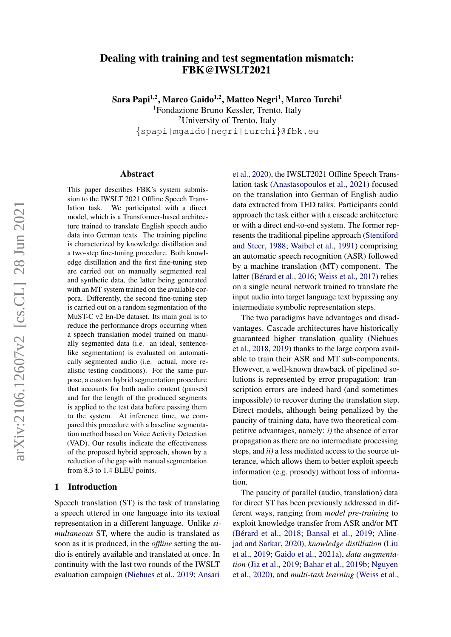# Dealing with training and test segmentation mismatch: FBK@IWSLT2021

Sara Papi<sup>1,2</sup>, Marco Gaido<sup>1,2</sup>, Matteo Negri<sup>1</sup>, Marco Turchi<sup>1</sup> <sup>1</sup>Fondazione Bruno Kessler, Trento, Italy <sup>2</sup>University of Trento, Italy {spapi|mgaido|negri|turchi}@fbk.eu

#### Abstract

This paper describes FBK's system submission to the IWSLT 2021 Offline Speech Translation task. We participated with a direct model, which is a Transformer-based architecture trained to translate English speech audio data into German texts. The training pipeline is characterized by knowledge distillation and a two-step fine-tuning procedure. Both knowledge distillation and the first fine-tuning step are carried out on manually segmented real and synthetic data, the latter being generated with an MT system trained on the available corpora. Differently, the second fine-tuning step is carried out on a random segmentation of the MuST-C v2 En-De dataset. Its main goal is to reduce the performance drops occurring when a speech translation model trained on manually segmented data (i.e. an ideal, sentencelike segmentation) is evaluated on automatically segmented audio (i.e. actual, more realistic testing conditions). For the same purpose, a custom hybrid segmentation procedure that accounts for both audio content (pauses) and for the length of the produced segments is applied to the test data before passing them to the system. At inference time, we compared this procedure with a baseline segmentation method based on Voice Activity Detection (VAD). Our results indicate the effectiveness of the proposed hybrid approach, shown by a reduction of the gap with manual segmentation from 8.3 to 1.4 BLEU points.

#### <span id="page-0-0"></span>1 Introduction

Speech translation (ST) is the task of translating a speech uttered in one language into its textual representation in a different language. Unlike *simultaneous* ST, where the audio is translated as soon as it is produced, in the *offline* setting the audio is entirely available and translated at once. In continuity with the last two rounds of the IWSLT evaluation campaign [\(Niehues et al.,](#page-7-0) [2019;](#page-7-0) [Ansari](#page-5-0)

[et al.,](#page-5-0) [2020\)](#page-5-0), the IWSLT2021 Offline Speech Translation task [\(Anastasopoulos et al.,](#page-5-1) [2021\)](#page-5-1) focused on the translation into German of English audio data extracted from TED talks. Participants could approach the task either with a cascade architecture or with a direct end-to-end system. The former represents the traditional pipeline approach [\(Stentiford](#page-7-1) [and Steer,](#page-7-1) [1988;](#page-7-1) [Waibel et al.,](#page-7-2) [1991\)](#page-7-2) comprising an automatic speech recognition (ASR) followed by a machine translation (MT) component. The latter (Bérard et al., [2016;](#page-6-0) [Weiss et al.,](#page-7-3) [2017\)](#page-7-3) relies on a single neural network trained to translate the input audio into target language text bypassing any intermediate symbolic representation steps.

The two paradigms have advantages and disadvantages. Cascade architectures have historically guaranteed higher translation quality [\(Niehues](#page-7-4) [et al.,](#page-7-4) [2018,](#page-7-4) [2019\)](#page-7-0) thanks to the large corpora available to train their ASR and MT sub-components. However, a well-known drawback of pipelined solutions is represented by error propagation: transcription errors are indeed hard (and sometimes impossible) to recover during the translation step. Direct models, although being penalized by the paucity of training data, have two theoretical competitive advantages, namely: *i)* the absence of error propagation as there are no intermediate processing steps, and *ii)* a less mediated access to the source utterance, which allows them to better exploit speech information (e.g. prosody) without loss of information.

The paucity of parallel (audio, translation) data for direct ST has been previously addressed in different ways, ranging from *model pre-training* to exploit knowledge transfer from ASR and/or MT (Bérard et al., [2018;](#page-5-2) [Bansal et al.,](#page-5-3) [2019;](#page-5-3) [Aline](#page-5-4)[jad and Sarkar,](#page-5-4) [2020\)](#page-5-4), *knowledge distillation* [\(Liu](#page-6-1) [et al.,](#page-6-1) [2019;](#page-6-1) [Gaido et al.,](#page-6-2) [2021a\)](#page-6-2), *data augmentation* [\(Jia et al.,](#page-6-3) [2019;](#page-6-3) [Bahar et al.,](#page-5-5) [2019b;](#page-5-5) [Nguyen](#page-6-4) [et al.,](#page-6-4) [2020\)](#page-6-4), and *multi-task learning* [\(Weiss et al.,](#page-7-3)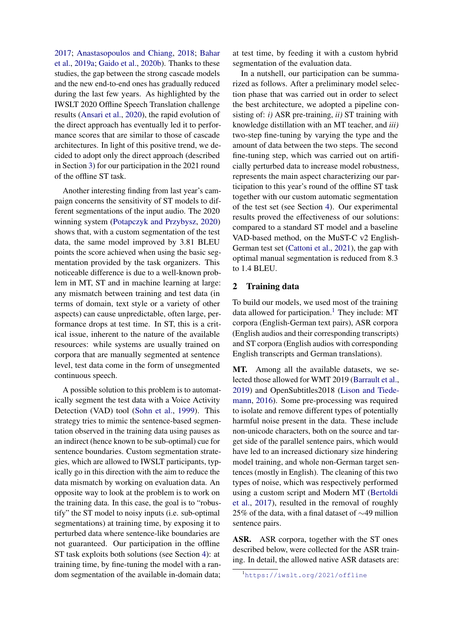[2017;](#page-7-3) [Anastasopoulos and Chiang,](#page-5-6) [2018;](#page-5-6) [Bahar](#page-5-7) [et al.,](#page-5-7) [2019a;](#page-5-7) [Gaido et al.,](#page-6-5) [2020b\)](#page-6-5). Thanks to these studies, the gap between the strong cascade models and the new end-to-end ones has gradually reduced during the last few years. As highlighted by the IWSLT 2020 Offline Speech Translation challenge results [\(Ansari et al.,](#page-5-0) [2020\)](#page-5-0), the rapid evolution of the direct approach has eventually led it to performance scores that are similar to those of cascade architectures. In light of this positive trend, we decided to adopt only the direct approach (described in Section [3\)](#page-2-0) for our participation in the 2021 round of the offline ST task.

Another interesting finding from last year's campaign concerns the sensitivity of ST models to different segmentations of the input audio. The 2020 winning system [\(Potapczyk and Przybysz,](#page-7-5) [2020\)](#page-7-5) shows that, with a custom segmentation of the test data, the same model improved by 3.81 BLEU points the score achieved when using the basic segmentation provided by the task organizers. This noticeable difference is due to a well-known problem in MT, ST and in machine learning at large: any mismatch between training and test data (in terms of domain, text style or a variety of other aspects) can cause unpredictable, often large, performance drops at test time. In ST, this is a critical issue, inherent to the nature of the available resources: while systems are usually trained on corpora that are manually segmented at sentence level, test data come in the form of unsegmented continuous speech.

A possible solution to this problem is to automatically segment the test data with a Voice Activity Detection (VAD) tool [\(Sohn et al.,](#page-7-6) [1999\)](#page-7-6). This strategy tries to mimic the sentence-based segmentation observed in the training data using pauses as an indirect (hence known to be sub-optimal) cue for sentence boundaries. Custom segmentation strategies, which are allowed to IWSLT participants, typically go in this direction with the aim to reduce the data mismatch by working on evaluation data. An opposite way to look at the problem is to work on the training data. In this case, the goal is to "robustify" the ST model to noisy inputs (i.e. sub-optimal segmentations) at training time, by exposing it to perturbed data where sentence-like boundaries are not guaranteed. Our participation in the offline ST task exploits both solutions (see Section [4\)](#page-3-0): at training time, by fine-tuning the model with a random segmentation of the available in-domain data;

at test time, by feeding it with a custom hybrid segmentation of the evaluation data.

In a nutshell, our participation can be summarized as follows. After a preliminary model selection phase that was carried out in order to select the best architecture, we adopted a pipeline consisting of: *i)* ASR pre-training, *ii)* ST training with knowledge distillation with an MT teacher, and *iii)* two-step fine-tuning by varying the type and the amount of data between the two steps. The second fine-tuning step, which was carried out on artificially perturbed data to increase model robustness, represents the main aspect characterizing our participation to this year's round of the offline ST task together with our custom automatic segmentation of the test set (see Section [4\)](#page-3-0). Our experimental results proved the effectiveness of our solutions: compared to a standard ST model and a baseline VAD-based method, on the MuST-C v2 English-German test set [\(Cattoni et al.,](#page-6-6) [2021\)](#page-6-6), the gap with optimal manual segmentation is reduced from 8.3 to 1.4 BLEU.

#### <span id="page-1-1"></span>2 Training data

To build our models, we used most of the training data allowed for participation.<sup>[1](#page-1-0)</sup> They include: MT corpora (English-German text pairs), ASR corpora (English audios and their corresponding transcripts) and ST corpora (English audios with corresponding English transcripts and German translations).

MT. Among all the available datasets, we selected those allowed for WMT 2019 [\(Barrault et al.,](#page-5-8) [2019\)](#page-5-8) and OpenSubtitles2018 [\(Lison and Tiede](#page-6-7)[mann,](#page-6-7) [2016\)](#page-6-7). Some pre-processing was required to isolate and remove different types of potentially harmful noise present in the data. These include non-unicode characters, both on the source and target side of the parallel sentence pairs, which would have led to an increased dictionary size hindering model training, and whole non-German target sentences (mostly in English). The cleaning of this two types of noise, which was respectively performed using a custom script and Modern MT [\(Bertoldi](#page-5-9) [et al.,](#page-5-9) [2017\)](#page-5-9), resulted in the removal of roughly 25% of the data, with a final dataset of ∼49 million sentence pairs.

ASR. ASR corpora, together with the ST ones described below, were collected for the ASR training. In detail, the allowed native ASR datasets are:

<span id="page-1-0"></span><sup>1</sup><https://iwslt.org/2021/offline>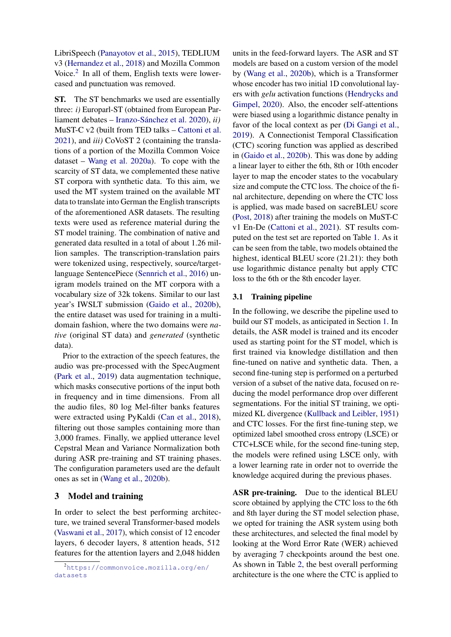LibriSpeech [\(Panayotov et al.,](#page-7-7) [2015\)](#page-7-7), TEDLIUM v3 [\(Hernandez et al.,](#page-6-8) [2018\)](#page-6-8) and Mozilla Common Voice.<sup>[2](#page-2-1)</sup> In all of them, English texts were lowercased and punctuation was removed.

ST. The ST benchmarks we used are essentially three: *i)* Europarl-ST (obtained from European Par-liament debates – Iranzo-Sánchez et al. [2020\)](#page-6-9), *ii*) MuST-C v2 (built from TED talks – [Cattoni et al.](#page-6-6) [2021\)](#page-6-6), and *iii)* CoVoST 2 (containing the translations of a portion of the Mozilla Common Voice dataset – [Wang et al.](#page-7-8) [2020a\)](#page-7-8). To cope with the scarcity of ST data, we complemented these native ST corpora with synthetic data. To this aim, we used the MT system trained on the available MT data to translate into German the English transcripts of the aforementioned ASR datasets. The resulting texts were used as reference material during the ST model training. The combination of native and generated data resulted in a total of about 1.26 million samples. The transcription-translation pairs were tokenized using, respectively, source/targetlanguage SentencePiece [\(Sennrich et al.,](#page-7-9) [2016\)](#page-7-9) unigram models trained on the MT corpora with a vocabulary size of 32k tokens. Similar to our last year's IWSLT submission [\(Gaido et al.,](#page-6-5) [2020b\)](#page-6-5), the entire dataset was used for training in a multidomain fashion, where the two domains were *native* (original ST data) and *generated* (synthetic data).

Prior to the extraction of the speech features, the audio was pre-processed with the SpecAugment [\(Park et al.,](#page-7-10) [2019\)](#page-7-10) data augmentation technique, which masks consecutive portions of the input both in frequency and in time dimensions. From all the audio files, 80 log Mel-filter banks features were extracted using PyKaldi [\(Can et al.,](#page-6-10) [2018\)](#page-6-10), filtering out those samples containing more than 3,000 frames. Finally, we applied utterance level Cepstral Mean and Variance Normalization both during ASR pre-training and ST training phases. The configuration parameters used are the default ones as set in [\(Wang et al.,](#page-7-11) [2020b\)](#page-7-11).

### <span id="page-2-0"></span>3 Model and training

In order to select the best performing architecture, we trained several Transformer-based models [\(Vaswani et al.,](#page-7-12) [2017\)](#page-7-12), which consist of 12 encoder layers, 6 decoder layers, 8 attention heads, 512 features for the attention layers and 2,048 hidden units in the feed-forward layers. The ASR and ST models are based on a custom version of the model by [\(Wang et al.,](#page-7-11) [2020b\)](#page-7-11), which is a Transformer whose encoder has two initial 1D convolutional layers with *gelu* activation functions [\(Hendrycks and](#page-6-11) [Gimpel,](#page-6-11) [2020\)](#page-6-11). Also, the encoder self-attentions were biased using a logarithmic distance penalty in favor of the local context as per [\(Di Gangi et al.,](#page-6-12) [2019\)](#page-6-12). A Connectionist Temporal Classification (CTC) scoring function was applied as described in [\(Gaido et al.,](#page-6-5) [2020b\)](#page-6-5). This was done by adding a linear layer to either the 6th, 8th or 10th encoder layer to map the encoder states to the vocabulary size and compute the CTC loss. The choice of the final architecture, depending on where the CTC loss is applied, was made based on sacreBLEU score [\(Post,](#page-7-13) [2018\)](#page-7-13) after training the models on MuST-C v1 En-De [\(Cattoni et al.,](#page-6-6) [2021\)](#page-6-6). ST results computed on the test set are reported on Table [1.](#page-3-1) As it can be seen from the table, two models obtained the highest, identical BLEU score (21.21): they both use logarithmic distance penalty but apply CTC loss to the 6th or the 8th encoder layer.

### 3.1 Training pipeline

In the following, we describe the pipeline used to build our ST models, as anticipated in Section [1.](#page-0-0) In details, the ASR model is trained and its encoder used as starting point for the ST model, which is first trained via knowledge distillation and then fine-tuned on native and synthetic data. Then, a second fine-tuning step is performed on a perturbed version of a subset of the native data, focused on reducing the model performance drop over different segmentations. For the initial ST training, we optimized KL divergence [\(Kullback and Leibler,](#page-6-13) [1951\)](#page-6-13) and CTC losses. For the first fine-tuning step, we optimized label smoothed cross entropy (LSCE) or CTC+LSCE while, for the second fine-tuning step, the models were refined using LSCE only, with a lower learning rate in order not to override the knowledge acquired during the previous phases.

ASR pre-training. Due to the identical BLEU score obtained by applying the CTC loss to the 6th and 8th layer during the ST model selection phase, we opted for training the ASR system using both these architectures, and selected the final model by looking at the Word Error Rate (WER) achieved by averaging 7 checkpoints around the best one. As shown in Table [2,](#page-3-2) the best overall performing architecture is the one where the CTC is applied to

<span id="page-2-1"></span><sup>2</sup>[https://commonvoice.mozilla.org/en/](https://commonvoice.mozilla.org/en/datasets) [datasets](https://commonvoice.mozilla.org/en/datasets)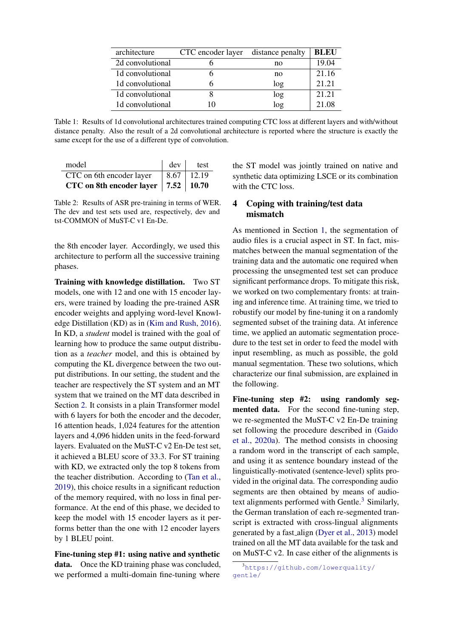<span id="page-3-1"></span>

| architecture     | CTC encoder layer | distance penalty | <b>BLEU</b> |
|------------------|-------------------|------------------|-------------|
| 2d convolutional |                   | no               | 19.04       |
| 1d convolutional |                   | no               | 21.16       |
| 1d convolutional |                   | log              | 21.21       |
| 1d convolutional |                   | log              | 21.21       |
| 1d convolutional |                   | log              | 21.08       |

Table 1: Results of 1d convolutional architectures trained computing CTC loss at different layers and with/without distance penalty. Also the result of a 2d convolutional architecture is reported where the structure is exactly the same except for the use of a different type of convolution.

<span id="page-3-2"></span>

| model                                                                                          | $dev$ test |
|------------------------------------------------------------------------------------------------|------------|
| CTC on 6th encoder layer $\begin{array}{ c c c c c } \hline 8.67 & 12.19 \\\hline \end{array}$ |            |
| CTC on 8th encoder layer $\vert 7.52 \vert 10.70$                                              |            |

Table 2: Results of ASR pre-training in terms of WER. The dev and test sets used are, respectively, dev and tst-COMMON of MuST-C v1 En-De.

the 8th encoder layer. Accordingly, we used this architecture to perform all the successive training phases.

Training with knowledge distillation. Two ST models, one with 12 and one with 15 encoder layers, were trained by loading the pre-trained ASR encoder weights and applying word-level Knowledge Distillation (KD) as in [\(Kim and Rush,](#page-6-14) [2016\)](#page-6-14). In KD, a *student* model is trained with the goal of learning how to produce the same output distribution as a *teacher* model, and this is obtained by computing the KL divergence between the two output distributions. In our setting, the student and the teacher are respectively the ST system and an MT system that we trained on the MT data described in Section [2.](#page-1-1) It consists in a plain Transformer model with 6 layers for both the encoder and the decoder, 16 attention heads, 1,024 features for the attention layers and 4,096 hidden units in the feed-forward layers. Evaluated on the MuST-C v2 En-De test set, it achieved a BLEU score of 33.3. For ST training with KD, we extracted only the top 8 tokens from the teacher distribution. According to [\(Tan et al.,](#page-7-14) [2019\)](#page-7-14), this choice results in a significant reduction of the memory required, with no loss in final performance. At the end of this phase, we decided to keep the model with 15 encoder layers as it performs better than the one with 12 encoder layers by 1 BLEU point.

Fine-tuning step #1: using native and synthetic data. Once the KD training phase was concluded, we performed a multi-domain fine-tuning where the ST model was jointly trained on native and synthetic data optimizing LSCE or its combination with the CTC loss.

## <span id="page-3-0"></span>4 Coping with training/test data mismatch

As mentioned in Section [1,](#page-0-0) the segmentation of audio files is a crucial aspect in ST. In fact, mismatches between the manual segmentation of the training data and the automatic one required when processing the unsegmented test set can produce significant performance drops. To mitigate this risk, we worked on two complementary fronts: at training and inference time. At training time, we tried to robustify our model by fine-tuning it on a randomly segmented subset of the training data. At inference time, we applied an automatic segmentation procedure to the test set in order to feed the model with input resembling, as much as possible, the gold manual segmentation. These two solutions, which characterize our final submission, are explained in the following.

Fine-tuning step #2: using randomly segmented data. For the second fine-tuning step, we re-segmented the MuST-C v2 En-De training set following the procedure described in [\(Gaido](#page-6-15) [et al.,](#page-6-15) [2020a\)](#page-6-15). The method consists in choosing a random word in the transcript of each sample, and using it as sentence boundary instead of the linguistically-motivated (sentence-level) splits provided in the original data. The corresponding audio segments are then obtained by means of audio-text alignments performed with Gentle.<sup>[3](#page-3-3)</sup> Similarly, the German translation of each re-segmented transcript is extracted with cross-lingual alignments generated by a fast align [\(Dyer et al.,](#page-6-16) [2013\)](#page-6-16) model trained on all the MT data available for the task and on MuST-C v2. In case either of the alignments is

<span id="page-3-3"></span><sup>3</sup>[https://github.com/lowerquality/](https://github.com/lowerquality/gentle/) [gentle/](https://github.com/lowerquality/gentle/)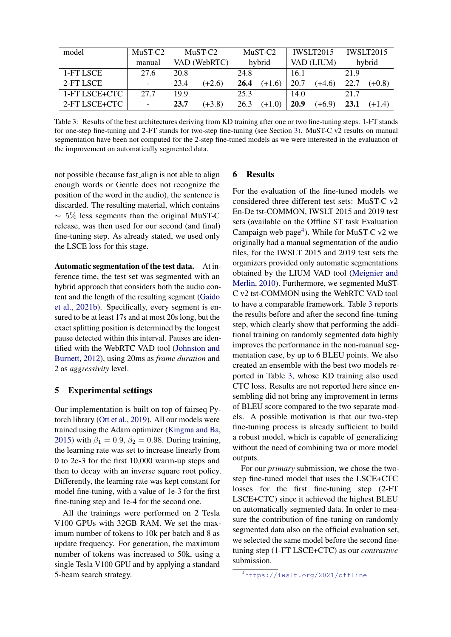<span id="page-4-1"></span>

| model         | MuST-C <sub>2</sub>      | $MUST-C2$    |          | MuST-C <sub>2</sub> |          | IWSLT2015  |          | <b>IWSI</b> T2015 |          |
|---------------|--------------------------|--------------|----------|---------------------|----------|------------|----------|-------------------|----------|
|               | manual                   | VAD (WebRTC) |          | hybrid              |          | VAD (LIUM) |          | hybrid            |          |
| 1-FT LSCE     | 27.6                     | 20.8         |          | 24.8                |          | 16.1       |          | 21.9              |          |
| 2-FT LSCE     | $\overline{\phantom{0}}$ | 23.4         | $(+2.6)$ | 26.4                | $(+1.6)$ | 20.7       | $(+4.6)$ | 22.7              | $(+0.8)$ |
| 1-FT LSCE+CTC | 27.7                     | 19.9         |          | 25.3                |          | 14.0       |          | 21.7              |          |
| 2-FT LSCE+CTC | $\overline{\phantom{0}}$ | 23.7         | $(+3.8)$ | 26.3                | $(+1.0)$ | 20.9       | $(+6.9)$ | 23.1              | $(+1.4)$ |

Table 3: Results of the best architectures deriving from KD training after one or two fine-tuning steps. 1-FT stands for one-step fine-tuning and 2-FT stands for two-step fine-tuning (see Section [3\)](#page-2-0). MuST-C v2 results on manual segmentation have been not computed for the 2-step fine-tuned models as we were interested in the evaluation of the improvement on automatically segmented data.

not possible (because fast align is not able to align enough words or Gentle does not recognize the position of the word in the audio), the sentence is discarded. The resulting material, which contains  $\sim$  5% less segments than the original MuST-C release, was then used for our second (and final) fine-tuning step. As already stated, we used only the LSCE loss for this stage.

Automatic segmentation of the test data. At inference time, the test set was segmented with an hybrid approach that considers both the audio content and the length of the resulting segment [\(Gaido](#page-6-17) [et al.,](#page-6-17) [2021b\)](#page-6-17). Specifically, every segment is ensured to be at least 17s and at most 20s long, but the exact splitting position is determined by the longest pause detected within this interval. Pauses are identified with the WebRTC VAD tool [\(Johnston and](#page-6-18) [Burnett,](#page-6-18) [2012\)](#page-6-18), using 20ms as *frame duration* and 2 as *aggressivity* level.

### 5 Experimental settings

Our implementation is built on top of fairseq Pytorch library [\(Ott et al.,](#page-7-15) [2019\)](#page-7-15). All our models were trained using the Adam optimizer [\(Kingma and Ba,](#page-6-19) [2015\)](#page-6-19) with  $\beta_1 = 0.9$ ,  $\beta_2 = 0.98$ . During training, the learning rate was set to increase linearly from 0 to 2e-3 for the first 10,000 warm-up steps and then to decay with an inverse square root policy. Differently, the learning rate was kept constant for model fine-tuning, with a value of 1e-3 for the first fine-tuning step and 1e-4 for the second one.

All the trainings were performed on 2 Tesla V100 GPUs with 32GB RAM. We set the maximum number of tokens to 10k per batch and 8 as update frequency. For generation, the maximum number of tokens was increased to 50k, using a single Tesla V100 GPU and by applying a standard 5-beam search strategy.

# 6 Results

For the evaluation of the fine-tuned models we considered three different test sets: MuST-C v2 En-De tst-COMMON, IWSLT 2015 and 2019 test sets (available on the Offline ST task Evaluation Campaign web page<sup>[4](#page-4-0)</sup>). While for MuST-C v2 we originally had a manual segmentation of the audio files, for the IWSLT 2015 and 2019 test sets the organizers provided only automatic segmentations obtained by the LIUM VAD tool [\(Meignier and](#page-6-20) [Merlin,](#page-6-20) [2010\)](#page-6-20). Furthermore, we segmented MuST-C v2 tst-COMMON using the WebRTC VAD tool to have a comparable framework. Table [3](#page-4-1) reports the results before and after the second fine-tuning step, which clearly show that performing the additional training on randomly segmented data highly improves the performance in the non-manual segmentation case, by up to 6 BLEU points. We also created an ensemble with the best two models reported in Table [3,](#page-4-1) whose KD training also used CTC loss. Results are not reported here since ensembling did not bring any improvement in terms of BLEU score compared to the two separate models. A possible motivation is that our two-step fine-tuning process is already sufficient to build a robust model, which is capable of generalizing without the need of combining two or more model outputs.

For our *primary* submission, we chose the twostep fine-tuned model that uses the LSCE+CTC losses for the first fine-tuning step (2-FT LSCE+CTC) since it achieved the highest BLEU on automatically segmented data. In order to measure the contribution of fine-tuning on randomly segmented data also on the official evaluation set, we selected the same model before the second finetuning step (1-FT LSCE+CTC) as our *contrastive* submission.

<span id="page-4-0"></span><sup>4</sup><https://iwslt.org/2021/offline>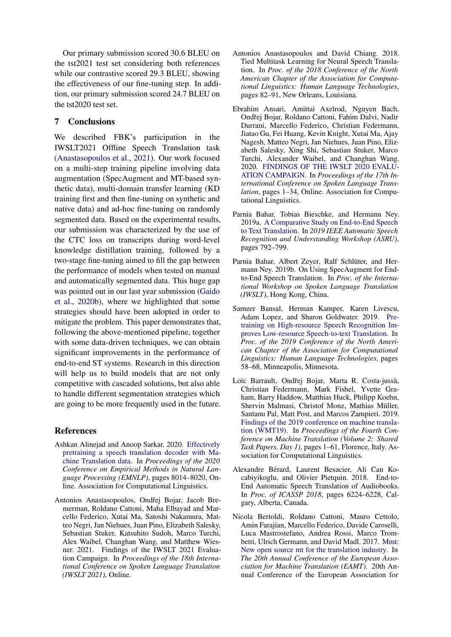Our primary submission scored 30.6 BLEU on the tst2021 test set considering both references while our contrastive scored 29.3 BLEU, showing the effectiveness of our fine-tuning step. In addition, our primary submission scored 24.7 BLEU on the tst2020 test set.

# 7 Conclusions

We described FBK's participation in the IWSLT2021 Offline Speech Translation task [\(Anastasopoulos et al.,](#page-5-1) [2021\)](#page-5-1). Our work focused on a multi-step training pipeline involving data augmentation (SpecAugment and MT-based synthetic data), multi-domain transfer learning (KD training first and then fine-tuning on synthetic and native data) and ad-hoc fine-tuning on randomly segmented data. Based on the experimental results, our submission was characterized by the use of the CTC loss on transcripts during word-level knowledge distillation training, followed by a two-stage fine-tuning aimed to fill the gap between the performance of models when tested on manual and automatically segmented data. This huge gap was pointed out in our last year submission [\(Gaido](#page-6-5) [et al.,](#page-6-5) [2020b\)](#page-6-5), where we highlighted that some strategies should have been adopted in order to mitigate the problem. This paper demonstrates that, following the above-mentioned pipeline, together with some data-driven techniques, we can obtain significant improvements in the performance of end-to-end ST systems. Research in this direction will help us to build models that are not only competitive with cascaded solutions, but also able to handle different segmentation strategies which are going to be more frequently used in the future.

#### References

- <span id="page-5-4"></span>Ashkan Alinejad and Anoop Sarkar. 2020. [Effectively](https://doi.org/10.18653/v1/2020.emnlp-main.644) [pretraining a speech translation decoder with Ma](https://doi.org/10.18653/v1/2020.emnlp-main.644)[chine Translation data.](https://doi.org/10.18653/v1/2020.emnlp-main.644) In *Proceedings of the 2020 Conference on Empirical Methods in Natural Language Processing (EMNLP)*, pages 8014–8020, Online. Association for Computational Linguistics.
- <span id="page-5-1"></span>Antonios Anastasopoulos, Ondřej Bojar, Jacob Bremerman, Roldano Cattoni, Maha Elbayad and Marcello Federico, Xutai Ma, Satoshi Nakamura, Matteo Negri, Jan Niehues, Juan Pino, Elizabeth Salesky, Sebastian Stuker, Katsuhito Sudoh, Marco Turchi, Alex Waibel, Changhan Wang, and Matthew Wiesner. 2021. Findings of the IWSLT 2021 Evaluation Campaign. In *Proceedings of the 18th International Conference on Spoken Language Translation (IWSLT 2021)*, Online.
- <span id="page-5-6"></span>Antonios Anastasopoulos and David Chiang. 2018. Tied Multitask Learning for Neural Speech Translation. In *Proc. of the 2018 Conference of the North American Chapter of the Association for Computational Linguistics: Human Language Technologies*, pages 82–91, New Orleans, Louisiana.
- <span id="page-5-0"></span>Ebrahim Ansari, Amittai Axelrod, Nguyen Bach, Ondřej Bojar, Roldano Cattoni, Fahim Dalvi, Nadir Durrani, Marcello Federico, Christian Federmann, Jiatao Gu, Fei Huang, Kevin Knight, Xutai Ma, Ajay Nagesh, Matteo Negri, Jan Niehues, Juan Pino, Elizabeth Salesky, Xing Shi, Sebastian Stuker, Marco Turchi, Alexander Waibel, and Changhan Wang. 2020. [FINDINGS OF THE IWSLT 2020 EVALU-](https://doi.org/10.18653/v1/2020.iwslt-1.1)[ATION CAMPAIGN.](https://doi.org/10.18653/v1/2020.iwslt-1.1) In *Proceedings of the 17th International Conference on Spoken Language Translation*, pages 1–34, Online. Association for Computational Linguistics.
- <span id="page-5-7"></span>Parnia Bahar, Tobias Bieschke, and Hermann Ney. 2019a. [A Comparative Study on End-to-End Speech](https://doi.org/10.1109/ASRU46091.2019.9003774) [to Text Translation.](https://doi.org/10.1109/ASRU46091.2019.9003774) In *2019 IEEE Automatic Speech Recognition and Understanding Workshop (ASRU)*, pages 792–799.
- <span id="page-5-5"></span>Parnia Bahar, Albert Zeyer, Ralf Schlüter, and Hermann Ney. 2019b. On Using SpecAugment for Endto-End Speech Translation. In *Proc. of the International Workshop on Spoken Language Translation (IWSLT)*, Hong Kong, China.
- <span id="page-5-3"></span>Sameer Bansal, Herman Kamper, Karen Livescu, Adam Lopez, and Sharon Goldwater. 2019. [Pre](https://doi.org/10.18653/v1/N19-1006)[training on High-resource Speech Recognition Im](https://doi.org/10.18653/v1/N19-1006)[proves Low-resource Speech-to-text Translation.](https://doi.org/10.18653/v1/N19-1006) In *Proc. of the 2019 Conference of the North American Chapter of the Association for Computational Linguistics: Human Language Technologies*, pages 58–68, Minneapolis, Minnesota.
- <span id="page-5-8"></span>Loïc Barrault, Ondřej Bojar, Marta R. Costa-jussà, Christian Federmann, Mark Fishel, Yvette Graham, Barry Haddow, Matthias Huck, Philipp Koehn, Shervin Malmasi, Christof Monz, Mathias Müller, Santanu Pal, Matt Post, and Marcos Zampieri. 2019. [Findings of the 2019 conference on machine transla](https://doi.org/10.18653/v1/W19-5301)[tion \(WMT19\).](https://doi.org/10.18653/v1/W19-5301) In *Proceedings of the Fourth Conference on Machine Translation (Volume 2: Shared Task Papers, Day 1)*, pages 1–61, Florence, Italy. Association for Computational Linguistics.
- <span id="page-5-2"></span>Alexandre Berard, Laurent Besacier, Ali Can Ko- ´ cabiyikoglu, and Olivier Pietquin. 2018. End-to-End Automatic Speech Translation of Audiobooks. In *Proc. of ICASSP 2018*, pages 6224–6228, Calgary, Alberta, Canada.
- <span id="page-5-9"></span>Nicola Bertoldi, Roldano Cattoni, Mauro Cettolo, Amin Farajian, Marcello Federico, Davide Caroselli, Luca Mastrostefano, Andrea Rossi, Marco Trombetti, Ulrich Germann, and David Madl. 2017. [Mmt:](https://ufal.mff.cuni.cz/eamt2017/) [New open source mt for the translation industry.](https://ufal.mff.cuni.cz/eamt2017/) In *The 20th Annual Conference of the European Association for Machine Translation (EAMT)*. 20th Annual Conference of the European Association for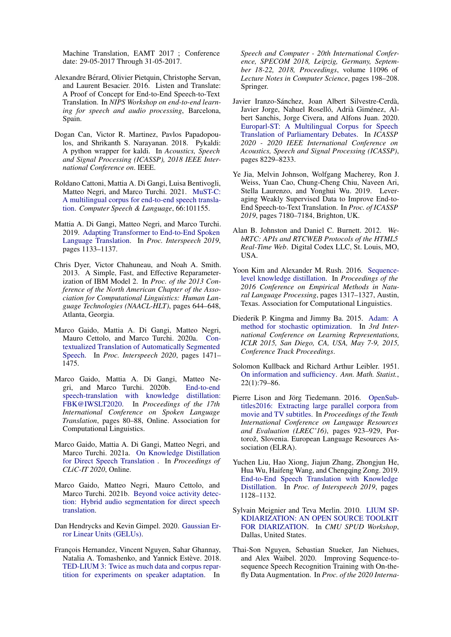Machine Translation, EAMT 2017 ; Conference date: 29-05-2017 Through 31-05-2017.

- <span id="page-6-0"></span>Alexandre Bérard, Olivier Pietquin, Christophe Servan, and Laurent Besacier. 2016. Listen and Translate: A Proof of Concept for End-to-End Speech-to-Text Translation. In *NIPS Workshop on end-to-end learning for speech and audio processing*, Barcelona, Spain.
- <span id="page-6-10"></span>Dogan Can, Victor R. Martinez, Pavlos Papadopoulos, and Shrikanth S. Narayanan. 2018. Pykaldi: A python wrapper for kaldi. In *Acoustics, Speech and Signal Processing (ICASSP), 2018 IEEE International Conference on*. IEEE.
- <span id="page-6-6"></span>Roldano Cattoni, Mattia A. Di Gangi, Luisa Bentivogli, Matteo Negri, and Marco Turchi. 2021. [MuST-C:](https://doi.org/https://doi.org/10.1016/j.csl.2020.101155) [A multilingual corpus for end-to-end speech transla](https://doi.org/https://doi.org/10.1016/j.csl.2020.101155)[tion.](https://doi.org/https://doi.org/10.1016/j.csl.2020.101155) *Computer Speech & Language*, 66:101155.
- <span id="page-6-12"></span>Mattia A. Di Gangi, Matteo Negri, and Marco Turchi. 2019. [Adapting Transformer to End-to-End Spoken](https://doi.org/10.21437/Interspeech.2019-3045) [Language Translation.](https://doi.org/10.21437/Interspeech.2019-3045) In *Proc. Interspeech 2019*, pages 1133–1137.
- <span id="page-6-16"></span>Chris Dyer, Victor Chahuneau, and Noah A. Smith. 2013. A Simple, Fast, and Effective Reparameterization of IBM Model 2. In *Proc. of the 2013 Conference of the North American Chapter of the Association for Computational Linguistics: Human Language Technologies (NAACL-HLT)*, pages 644–648, Atlanta, Georgia.
- <span id="page-6-15"></span>Marco Gaido, Mattia A. Di Gangi, Matteo Negri, Mauro Cettolo, and Marco Turchi. 2020a. [Con](https://doi.org/10.21437/Interspeech.2020-2860)[textualized Translation of Automatically Segmented](https://doi.org/10.21437/Interspeech.2020-2860) [Speech.](https://doi.org/10.21437/Interspeech.2020-2860) In *Proc. Interspeech 2020*, pages 1471– 1475.
- <span id="page-6-5"></span>Marco Gaido, Mattia A. Di Gangi, Matteo Negri, and Marco Turchi. 2020b. [End-to-end](https://doi.org/10.18653/v1/2020.iwslt-1.8) [speech-translation with knowledge distillation:](https://doi.org/10.18653/v1/2020.iwslt-1.8) [FBK@IWSLT2020.](https://doi.org/10.18653/v1/2020.iwslt-1.8) In *Proceedings of the 17th International Conference on Spoken Language Translation*, pages 80–88, Online. Association for Computational Linguistics.
- <span id="page-6-2"></span>Marco Gaido, Mattia A. Di Gangi, Matteo Negri, and Marco Turchi. 2021a. [On Knowledge Distillation](http://ceur-ws.org/Vol-2769/paper_28.pdf) [for Direct Speech Translation](http://ceur-ws.org/Vol-2769/paper_28.pdf) . In *Proceedings of CLiC-IT 2020*, Online.
- <span id="page-6-17"></span>Marco Gaido, Matteo Negri, Mauro Cettolo, and Marco Turchi. 2021b. [Beyond voice activity detec](http://arxiv.org/abs/2104.11710)[tion: Hybrid audio segmentation for direct speech](http://arxiv.org/abs/2104.11710) [translation.](http://arxiv.org/abs/2104.11710)
- <span id="page-6-11"></span>Dan Hendrycks and Kevin Gimpel. 2020. [Gaussian Er](http://arxiv.org/abs/1606.08415)[ror Linear Units \(GELUs\).](http://arxiv.org/abs/1606.08415)
- <span id="page-6-8"></span>François Hernandez, Vincent Nguyen, Sahar Ghannay, Natalia A. Tomashenko, and Yannick Estève. 2018. [TED-LIUM 3: Twice as much data and corpus repar](https://doi.org/10.1007/978-3-319-99579-3_21)[tition for experiments on speaker adaptation.](https://doi.org/10.1007/978-3-319-99579-3_21) In

*Speech and Computer - 20th International Conference, SPECOM 2018, Leipzig, Germany, September 18-22, 2018, Proceedings*, volume 11096 of *Lecture Notes in Computer Science*, pages 198–208. Springer.

- <span id="page-6-9"></span>Javier Iranzo-Sánchez, Joan Albert Silvestre-Cerdà, Javier Jorge, Nahuel Roselló, Adrià Giménez, Albert Sanchis, Jorge Civera, and Alfons Juan. 2020. [Europarl-ST: A Multilingual Corpus for Speech](https://doi.org/10.1109/ICASSP40776.2020.9054626) [Translation of Parliamentary Debates.](https://doi.org/10.1109/ICASSP40776.2020.9054626) In *ICASSP 2020 - 2020 IEEE International Conference on Acoustics, Speech and Signal Processing (ICASSP)*, pages 8229–8233.
- <span id="page-6-3"></span>Ye Jia, Melvin Johnson, Wolfgang Macherey, Ron J. Weiss, Yuan Cao, Chung-Cheng Chiu, Naveen Ari, Stella Laurenzo, and Yonghui Wu. 2019. Leveraging Weakly Supervised Data to Improve End-to-End Speech-to-Text Translation. In *Proc. of ICASSP 2019*, pages 7180–7184, Brighton, UK.
- <span id="page-6-18"></span>Alan B. Johnston and Daniel C. Burnett. 2012. *WebRTC: APIs and RTCWEB Protocols of the HTML5 Real-Time Web*. Digital Codex LLC, St. Louis, MO, USA.
- <span id="page-6-14"></span>Yoon Kim and Alexander M. Rush. 2016. [Sequence](https://doi.org/10.18653/v1/D16-1139)[level knowledge distillation.](https://doi.org/10.18653/v1/D16-1139) In *Proceedings of the 2016 Conference on Empirical Methods in Natural Language Processing*, pages 1317–1327, Austin, Texas. Association for Computational Linguistics.
- <span id="page-6-19"></span>Diederik P. Kingma and Jimmy Ba. 2015. [Adam: A](http://arxiv.org/abs/1412.6980) [method for stochastic optimization.](http://arxiv.org/abs/1412.6980) In *3rd International Conference on Learning Representations, ICLR 2015, San Diego, CA, USA, May 7-9, 2015, Conference Track Proceedings*.
- <span id="page-6-13"></span>Solomon Kullback and Richard Arthur Leibler. 1951. [On information and sufficiency.](https://doi.org/10.1214/aoms/1177729694) *Ann. Math. Statist.*, 22(1):79–86.
- <span id="page-6-7"></span>Pierre Lison and Jörg Tiedemann. 2016. [OpenSub](https://www.aclweb.org/anthology/L16-1147)[titles2016: Extracting large parallel corpora from](https://www.aclweb.org/anthology/L16-1147) [movie and TV subtitles.](https://www.aclweb.org/anthology/L16-1147) In *Proceedings of the Tenth International Conference on Language Resources and Evaluation (LREC'16)*, pages 923–929, Portorož, Slovenia. European Language Resources Association (ELRA).
- <span id="page-6-1"></span>Yuchen Liu, Hao Xiong, Jiajun Zhang, Zhongjun He, Hua Wu, Haifeng Wang, and Chengqing Zong. 2019. [End-to-End Speech Translation with Knowledge](https://doi.org/10.21437/Interspeech.2019-2582) [Distillation.](https://doi.org/10.21437/Interspeech.2019-2582) In *Proc. of Interspeech 2019*, pages 1128–1132.
- <span id="page-6-20"></span>Sylvain Meignier and Teva Merlin. 2010. [LIUM SP-](https://hal.archives-ouvertes.fr/hal-01433518)[KDIARIZATION: AN OPEN SOURCE TOOLKIT](https://hal.archives-ouvertes.fr/hal-01433518) [FOR DIARIZATION.](https://hal.archives-ouvertes.fr/hal-01433518) In *CMU SPUD Workshop*, Dallas, United States.
- <span id="page-6-4"></span>Thai-Son Nguyen, Sebastian Stueker, Jan Niehues, and Alex Waibel. 2020. Improving Sequence-tosequence Speech Recognition Training with On-thefly Data Augmentation. In *Proc. of the 2020 Interna-*